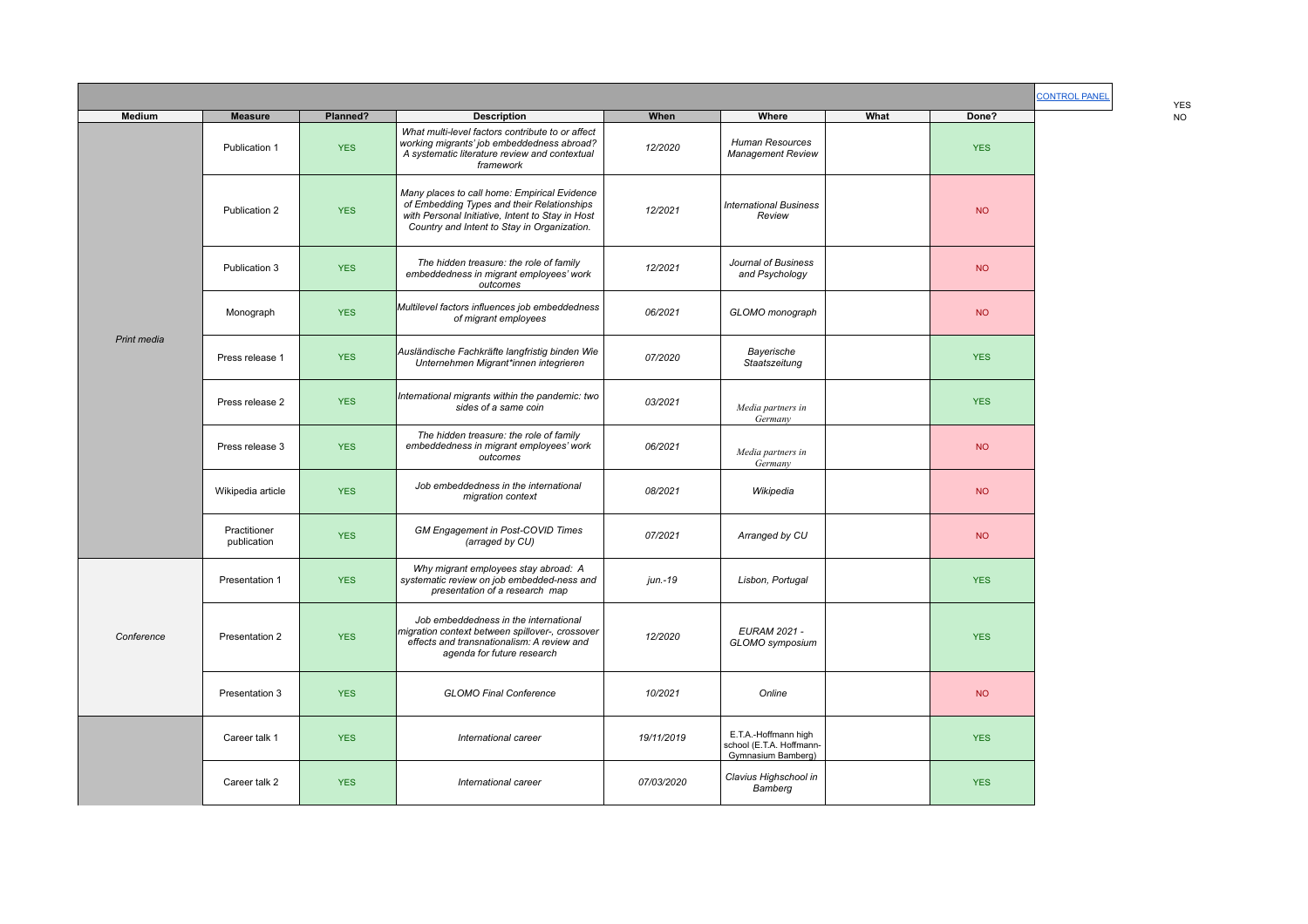|             |                             |            |                                                                                                                                                                                               |            |                                                                        |      |            |  | <b>YES</b> |
|-------------|-----------------------------|------------|-----------------------------------------------------------------------------------------------------------------------------------------------------------------------------------------------|------------|------------------------------------------------------------------------|------|------------|--|------------|
| Medium      | <b>Measure</b>              | Planned?   | <b>Description</b>                                                                                                                                                                            | When       | Where                                                                  | What | Done?      |  | <b>NO</b>  |
|             | Publication 1               | <b>YES</b> | What multi-level factors contribute to or affect<br>working migrants' job embeddedness abroad?<br>A systematic literature review and contextual<br>framework                                  | 12/2020    | Human Resources<br>Management Review                                   |      | <b>YES</b> |  |            |
|             | Publication 2               | <b>YES</b> | Many places to call home: Empirical Evidence<br>of Embedding Types and their Relationships<br>with Personal Initiative, Intent to Stay in Host<br>Country and Intent to Stay in Organization. | 12/2021    | <b>International Business</b><br>Review                                |      | <b>NO</b>  |  |            |
|             | Publication 3               | <b>YES</b> | The hidden treasure: the role of family<br>embeddedness in migrant employees' work<br>outcomes                                                                                                | 12/2021    | Journal of Business<br>and Psychology                                  |      | <b>NO</b>  |  |            |
|             | Monograph                   | <b>YES</b> | Multilevel factors influences job embeddedness<br>of migrant employees                                                                                                                        | 06/2021    | GLOMO monograph                                                        |      | <b>NO</b>  |  |            |
| Print media | Press release 1             | <b>YES</b> | Ausländische Fachkräfte langfristig binden Wie<br>Unternehmen Migrant*innen integrieren                                                                                                       | 07/2020    | Bayerische<br>Staatszeitung                                            |      | <b>YES</b> |  |            |
|             | Press release 2             | <b>YES</b> | International migrants within the pandemic: two<br>sides of a same coin                                                                                                                       | 03/2021    | Media partners in<br>Germany                                           |      | <b>YES</b> |  |            |
|             | Press release 3             | <b>YES</b> | The hidden treasure: the role of family<br>embeddedness in migrant employees' work<br>outcomes                                                                                                | 06/2021    | Media partners in<br>Germany                                           |      | <b>NO</b>  |  |            |
|             | Wikipedia article           | <b>YES</b> | Job embeddedness in the international<br>migration context                                                                                                                                    | 08/2021    | Wikipedia                                                              |      | <b>NO</b>  |  |            |
|             | Practitioner<br>publication | <b>YES</b> | <b>GM Engagement in Post-COVID Times</b><br>(arraged by CU)                                                                                                                                   | 07/2021    | Arranged by CU                                                         |      | <b>NO</b>  |  |            |
|             | Presentation 1              | <b>YES</b> | Why migrant employees stay abroad: A<br>systematic review on job embedded-ness and<br>presentation of a research map                                                                          | jun.-19    | Lisbon, Portugal                                                       |      | <b>YES</b> |  |            |
| Conference  | Presentation 2              | <b>YES</b> | Job embeddedness in the international<br>migration context between spillover-, crossover<br>effects and transnationalism: A review and<br>agenda for future research                          | 12/2020    | <b>EURAM 2021 -</b><br>GLOMO symposium                                 |      | <b>YES</b> |  |            |
|             | Presentation 3              | <b>YES</b> | <b>GLOMO Final Conference</b>                                                                                                                                                                 | 10/2021    | Online                                                                 |      | <b>NO</b>  |  |            |
|             | Career talk 1               | <b>YES</b> | International career                                                                                                                                                                          | 19/11/2019 | E.T.A.-Hoffmann high<br>school (E.T.A. Hoffmann-<br>Gymnasium Bamberg) |      | <b>YES</b> |  |            |
|             | Career talk 2               | <b>YES</b> | International career                                                                                                                                                                          | 07/03/2020 | Clavius Highschool in<br>Bamberg                                       |      | <b>YES</b> |  |            |

YES<br>NO